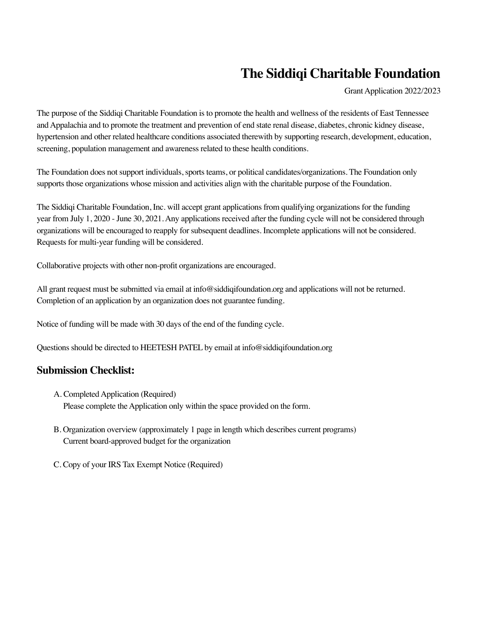## **The Siddiqi Charitable Foundation**

Grant Application 2022/2023

The purpose of the Siddiqi Charitable Foundation is to promote the health and wellness of the residents of East Tennessee and Appalachia and to promote the treatment and prevention of end state renal disease, diabetes, chronic kidney disease, hypertension and other related healthcare conditions associated therewith by supporting research, development, education, screening, population management and awareness related to these health conditions.

The Foundation does not support individuals, sports teams, or political candidates/organizations. The Foundation only supports those organizations whose mission and activities align with the charitable purpose of the Foundation.

The Siddiqi Charitable Foundation, Inc. will accept grant applications from qualifying organizations for the funding year from July 1, 2020 - June 30, 2021. Any applications received after the funding cycle will not be considered through organizations will be encouraged to reapply for subsequent deadlines. Incomplete applications will not be considered. Requests for multi-year funding will be considered.

Collaborative projects with other non-profit organizations are encouraged.

All grant request must be submitted via email at info@siddiqifoundation.org and applications will not be returned. Completion of an application by an organization does not guarantee funding.

Notice of funding will be made with 30 days of the end of the funding cycle.

Questions should be directed to HEETESH PATEL by email at info@siddiqifoundation.org

## **Submission Checklist:**

- A. Completed Application (Required) Please complete the Application only within the space provided on the form.
- B. Organization overview (approximately 1 page in length which describes current programs) Current board-approved budget for the organization
- C. Copy of your IRS Tax Exempt Notice (Required)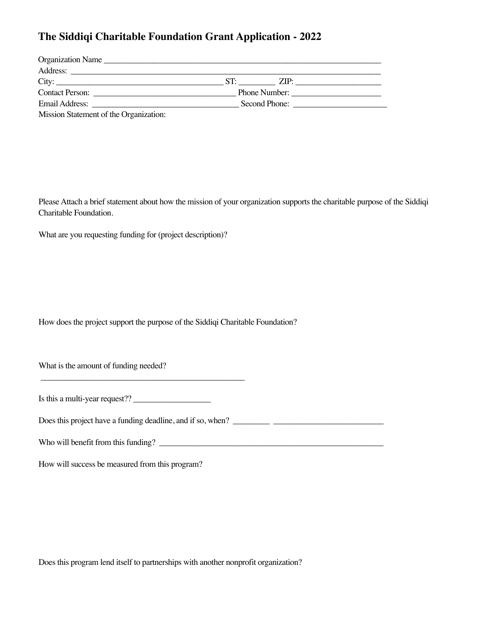## **The Siddiqi Charitable Foundation Grant Application - 2022**

| Organization Name |               |  |
|-------------------|---------------|--|
| Address:          |               |  |
| City:             | ZIP.          |  |
| Contact Person:   | Phone Number: |  |
| Email Address:    | Second Phone: |  |
|                   |               |  |

Mission Statement of the Organization:

Please Attach a brief statement about how the mission of your organization supports the charitable purpose of the Siddiqi Charitable Foundation.

What are you requesting funding for (project description)?

How does the project support the purpose of the Siddiqi Charitable Foundation?

What is the amount of funding needed?

| Is this a multi-year request?? |  |
|--------------------------------|--|
|--------------------------------|--|

\_\_\_\_\_\_\_\_\_\_\_\_\_\_\_\_\_\_\_\_\_\_\_\_\_\_\_\_\_\_\_\_\_\_\_\_\_\_\_\_\_\_\_\_\_\_\_\_\_\_

Does this project have a funding deadline, and if so, when? \_\_\_\_\_\_\_\_\_ \_\_\_\_\_\_\_\_\_\_\_\_\_\_\_\_\_\_\_\_\_\_\_\_\_\_\_

Who will benefit from this funding?

How will success be measured from this program?

Does this program lend itself to partnerships with another nonprofit organization?